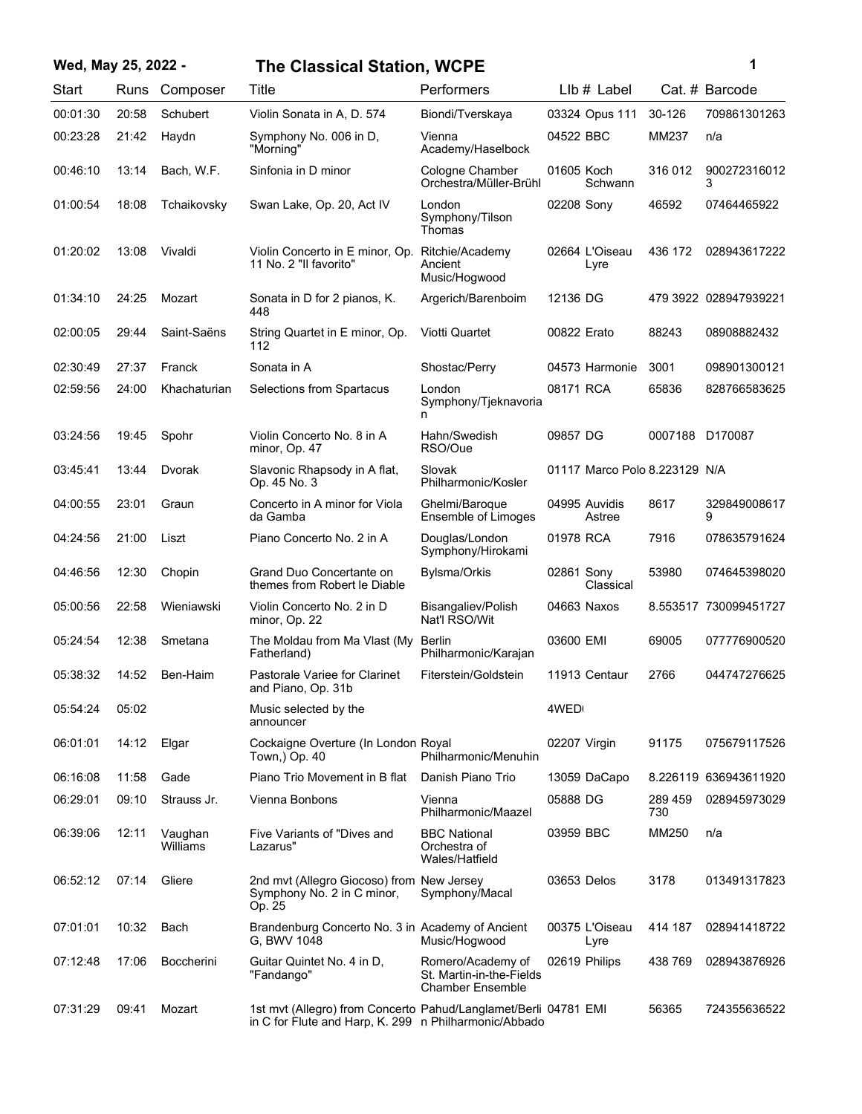## **Wed, May 25, 2022 - 1 The Classical Station, WCPE**

| ï<br>٠ |  |
|--------|--|
|        |  |

| Start    | Runs  | Composer            | Title                                                                                                                    | Performers                                                               | $Llb#$ Label                  |                | Cat. # Barcode        |
|----------|-------|---------------------|--------------------------------------------------------------------------------------------------------------------------|--------------------------------------------------------------------------|-------------------------------|----------------|-----------------------|
| 00:01:30 | 20:58 | Schubert            | Violin Sonata in A, D. 574                                                                                               | Biondi/Tverskaya                                                         | 03324 Opus 111                | 30-126         | 709861301263          |
| 00:23:28 | 21:42 | Haydn               | Symphony No. 006 in D,<br>"Morning"                                                                                      | Vienna<br>Academy/Haselbock                                              | 04522 BBC                     | MM237          | n/a                   |
| 00:46:10 | 13:14 | Bach, W.F.          | Sinfonia in D minor                                                                                                      | Cologne Chamber<br>Orchestra/Müller-Brühl                                | 01605 Koch<br>Schwann         | 316 012        | 900272316012<br>3     |
| 01:00:54 | 18:08 | Tchaikovsky         | Swan Lake, Op. 20, Act IV                                                                                                | London<br>Symphony/Tilson<br>Thomas                                      | 02208 Sony                    | 46592          | 07464465922           |
| 01:20:02 | 13:08 | Vivaldi             | Violin Concerto in E minor, Op.<br>11 No. 2 "Il favorito"                                                                | Ritchie/Academy<br>Ancient<br>Music/Hogwood                              | 02664 L'Oiseau<br>Lyre        | 436 172        | 028943617222          |
| 01:34:10 | 24:25 | Mozart              | Sonata in D for 2 pianos, K.<br>448                                                                                      | Argerich/Barenboim                                                       | 12136 DG                      |                | 479 3922 028947939221 |
| 02:00:05 | 29:44 | Saint-Saëns         | String Quartet in E minor, Op.<br>112                                                                                    | Viotti Quartet                                                           | 00822 Erato                   | 88243          | 08908882432           |
| 02:30:49 | 27:37 | Franck              | Sonata in A                                                                                                              | Shostac/Perry                                                            | 04573 Harmonie                | 3001           | 098901300121          |
| 02:59:56 | 24:00 | Khachaturian        | Selections from Spartacus                                                                                                | London<br>Symphony/Tjeknavoria<br>n                                      | 08171 RCA                     | 65836          | 828766583625          |
| 03:24:56 | 19:45 | Spohr               | Violin Concerto No. 8 in A<br>minor, Op. 47                                                                              | Hahn/Swedish<br>RSO/Oue                                                  | 09857 DG                      | 0007188        | D170087               |
| 03:45:41 | 13:44 | Dvorak              | Slavonic Rhapsody in A flat,<br>Op. 45 No. 3                                                                             | Slovak<br>Philharmonic/Kosler                                            | 01117 Marco Polo 8.223129 N/A |                |                       |
| 04:00:55 | 23:01 | Graun               | Concerto in A minor for Viola<br>da Gamba                                                                                | Ghelmi/Baroque<br>Ensemble of Limoges                                    | 04995 Auvidis<br>Astree       | 8617           | 329849008617<br>9     |
| 04:24:56 | 21:00 | Liszt               | Piano Concerto No. 2 in A                                                                                                | Douglas/London<br>Symphony/Hirokami                                      | 01978 RCA                     | 7916           | 078635791624          |
| 04:46:56 | 12:30 | Chopin              | Grand Duo Concertante on<br>themes from Robert le Diable                                                                 | Bylsma/Orkis                                                             | 02861 Sony<br>Classical       | 53980          | 074645398020          |
| 05:00:56 | 22:58 | Wieniawski          | Violin Concerto No. 2 in D<br>minor, Op. 22                                                                              | Bisangaliev/Polish<br>Nat'l RSO/Wit                                      | 04663 Naxos                   |                | 8.553517 730099451727 |
| 05:24:54 | 12:38 | Smetana             | The Moldau from Ma Vlast (My<br>Fatherland)                                                                              | Berlin<br>Philharmonic/Karajan                                           | 03600 EMI                     | 69005          | 077776900520          |
| 05:38:32 | 14:52 | Ben-Haim            | Pastorale Variee for Clarinet<br>and Piano, Op. 31b                                                                      | Fiterstein/Goldstein                                                     | 11913 Centaur                 | 2766           | 044747276625          |
| 05:54:24 | 05:02 |                     | Music selected by the<br>announcer                                                                                       |                                                                          | 4WED                          |                |                       |
| 06:01:01 | 14:12 | Elgar               | Cockaigne Overture (In London Royal<br>Town, Op. 40                                                                      | Philharmonic/Menuhin                                                     | 02207 Virgin                  | 91175          | 075679117526          |
| 06:16:08 | 11:58 | Gade                | Piano Trio Movement in B flat                                                                                            | Danish Piano Trio                                                        | 13059 DaCapo                  |                | 8.226119 636943611920 |
| 06:29:01 | 09:10 | Strauss Jr.         | Vienna Bonbons                                                                                                           | Vienna<br>Philharmonic/Maazel                                            | 05888 DG                      | 289 459<br>730 | 028945973029          |
| 06:39:06 | 12:11 | Vaughan<br>Williams | Five Variants of "Dives and<br>Lazarus"                                                                                  | <b>BBC National</b><br>Orchestra of<br>Wales/Hatfield                    | 03959 BBC                     | MM250          | n/a                   |
| 06:52:12 | 07:14 | Gliere              | 2nd mvt (Allegro Giocoso) from New Jersey<br>Symphony No. 2 in C minor,<br>Op. 25                                        | Symphony/Macal                                                           | 03653 Delos                   | 3178           | 013491317823          |
| 07:01:01 | 10:32 | Bach                | Brandenburg Concerto No. 3 in Academy of Ancient<br>G. BWV 1048                                                          | Music/Hogwood                                                            | 00375 L'Oiseau<br>Lyre        | 414 187        | 028941418722          |
| 07:12:48 | 17:06 | <b>Boccherini</b>   | Guitar Quintet No. 4 in D,<br>"Fandango"                                                                                 | Romero/Academy of<br>St. Martin-in-the-Fields<br><b>Chamber Ensemble</b> | 02619 Philips                 | 438 769        | 028943876926          |
| 07:31:29 | 09:41 | Mozart              | 1st mvt (Allegro) from Concerto Pahud/Langlamet/Berli 04781 EMI<br>in C for Flute and Harp, K. 299 n Philharmonic/Abbado |                                                                          |                               | 56365          | 724355636522          |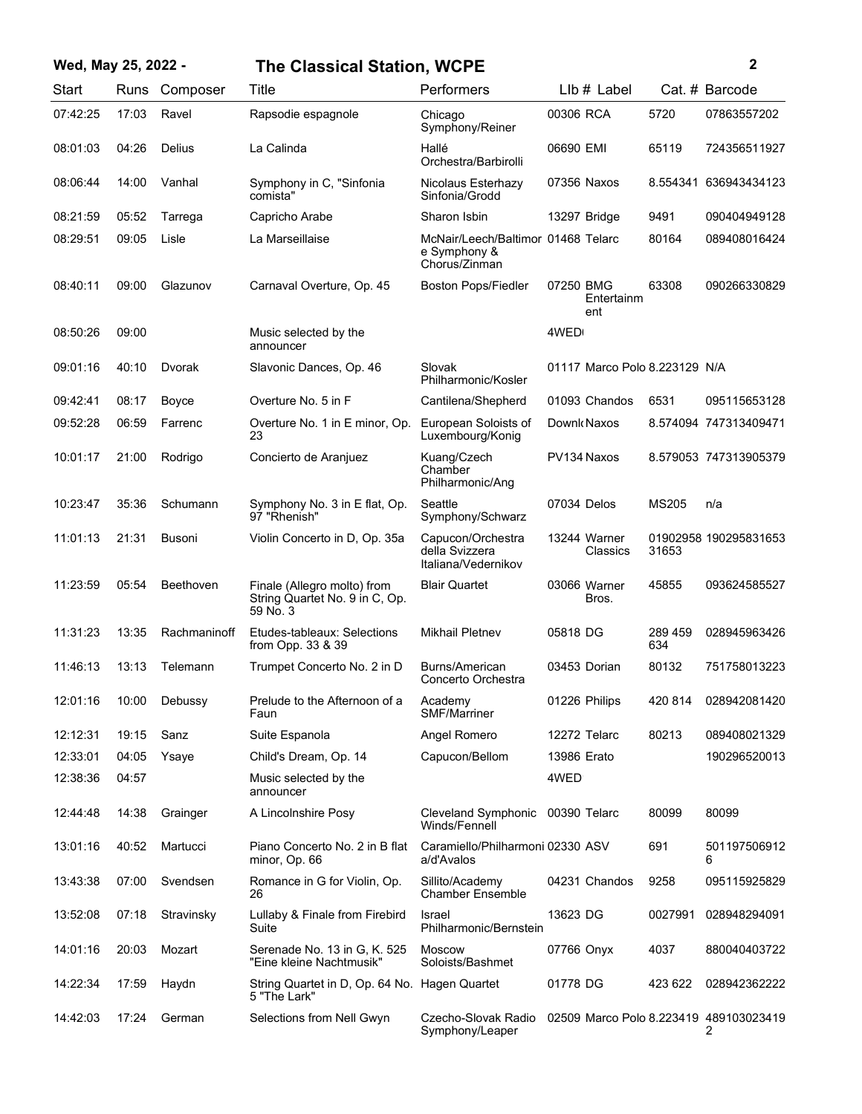## **Wed, May 25, 2022 - 2 The Classical Station, WCPE**

| Start    | Runs  | Composer     | Title                                                                     | Performers                                                          | $Llb#$ Label                           |                | Cat. # Barcode        |
|----------|-------|--------------|---------------------------------------------------------------------------|---------------------------------------------------------------------|----------------------------------------|----------------|-----------------------|
| 07:42:25 | 17:03 | Ravel        | Rapsodie espagnole                                                        | Chicago<br>Symphony/Reiner                                          | 00306 RCA                              | 5720           | 07863557202           |
| 08:01:03 | 04:26 | Delius       | La Calinda                                                                | Hallé<br>Orchestra/Barbirolli                                       | 06690 EMI                              | 65119          | 724356511927          |
| 08:06:44 | 14:00 | Vanhal       | Symphony in C, "Sinfonia<br>comista"                                      | Nicolaus Esterhazy<br>Sinfonia/Grodd                                | 07356 Naxos                            |                | 8.554341 636943434123 |
| 08:21:59 | 05:52 | Tarrega      | Capricho Arabe                                                            | Sharon Isbin                                                        | 13297 Bridge                           | 9491           | 090404949128          |
| 08:29:51 | 09:05 | Lisle        | La Marseillaise                                                           | McNair/Leech/Baltimor 01468 Telarc<br>e Symphony &<br>Chorus/Zinman |                                        | 80164          | 089408016424          |
| 08:40:11 | 09:00 | Glazunov     | Carnaval Overture, Op. 45                                                 | <b>Boston Pops/Fiedler</b>                                          | 07250 BMG<br>Entertainm<br>ent         | 63308          | 090266330829          |
| 08:50:26 | 09:00 |              | Music selected by the<br>announcer                                        |                                                                     | 4WED                                   |                |                       |
| 09:01:16 | 40:10 | Dvorak       | Slavonic Dances, Op. 46                                                   | Slovak<br>Philharmonic/Kosler                                       | 01117 Marco Polo 8.223129 N/A          |                |                       |
| 09:42:41 | 08:17 | Boyce        | Overture No. 5 in F                                                       | Cantilena/Shepherd                                                  | 01093 Chandos                          | 6531           | 095115653128          |
| 09:52:28 | 06:59 | Farrenc      | Overture No. 1 in E minor, Op.<br>23                                      | European Soloists of<br>Luxembourg/Konig                            | Downk Naxos                            |                | 8.574094 747313409471 |
| 10:01:17 | 21:00 | Rodrigo      | Concierto de Aranjuez                                                     | Kuang/Czech<br>Chamber<br>Philharmonic/Ang                          | PV134 Naxos                            |                | 8.579053 747313905379 |
| 10:23:47 | 35:36 | Schumann     | Symphony No. 3 in E flat, Op.<br>97 "Rhenish"                             | Seattle<br>Symphony/Schwarz                                         | 07034 Delos                            | <b>MS205</b>   | n/a                   |
| 11:01:13 | 21:31 | Busoni       | Violin Concerto in D, Op. 35a                                             | Capucon/Orchestra<br>della Svizzera<br>Italiana/Vedernikov          | 13244 Warner<br>Classics               | 31653          | 01902958 190295831653 |
| 11:23:59 | 05:54 | Beethoven    | Finale (Allegro molto) from<br>String Quartet No. 9 in C, Op.<br>59 No. 3 | <b>Blair Quartet</b>                                                | 03066 Warner<br>Bros.                  | 45855          | 093624585527          |
| 11:31:23 | 13:35 | Rachmaninoff | Etudes-tableaux: Selections<br>from Opp. 33 & 39                          | <b>Mikhail Pletnev</b>                                              | 05818 DG                               | 289 459<br>634 | 028945963426          |
| 11:46:13 | 13:13 | Telemann     | Trumpet Concerto No. 2 in D                                               | Burns/American<br>Concerto Orchestra                                | 03453 Dorian                           | 80132          | 751758013223          |
| 12:01:16 | 10:00 | Debussy      | Prelude to the Afternoon of a<br>Faun                                     | Academy<br>SMF/Marriner                                             | 01226 Philips                          | 420 814        | 028942081420          |
| 12:12:31 | 19:15 | Sanz         | Suite Espanola                                                            | Angel Romero                                                        | 12272 Telarc                           | 80213          | 089408021329          |
| 12:33:01 | 04:05 | Ysaye        | Child's Dream, Op. 14                                                     | Capucon/Bellom                                                      | 13986 Erato                            |                | 190296520013          |
| 12:38:36 | 04:57 |              | Music selected by the<br>announcer                                        |                                                                     | 4WED                                   |                |                       |
| 12:44:48 | 14:38 | Grainger     | A Lincolnshire Posy                                                       | Cleveland Symphonic<br>Winds/Fennell                                | 00390 Telarc                           | 80099          | 80099                 |
| 13:01:16 | 40:52 | Martucci     | Piano Concerto No. 2 in B flat<br>minor, Op. 66                           | Caramiello/Philharmoni 02330 ASV<br>a/d'Avalos                      |                                        | 691            | 501197506912<br>6     |
| 13:43:38 | 07:00 | Svendsen     | Romance in G for Violin, Op.<br>26                                        | Sillito/Academy<br><b>Chamber Ensemble</b>                          | 04231 Chandos                          | 9258           | 095115925829          |
| 13:52:08 | 07:18 | Stravinsky   | Lullaby & Finale from Firebird<br>Suite                                   | Israel<br>Philharmonic/Bernstein                                    | 13623 DG                               | 0027991        | 028948294091          |
| 14:01:16 | 20:03 | Mozart       | Serenade No. 13 in G, K. 525<br>"Eine kleine Nachtmusik"                  | <b>Moscow</b><br>Soloists/Bashmet                                   | 07766 Onyx                             | 4037           | 880040403722          |
| 14:22:34 | 17:59 | Haydn        | String Quartet in D, Op. 64 No. Hagen Quartet<br>5 "The Lark"             |                                                                     | 01778 DG                               | 423 622        | 028942362222          |
| 14:42:03 | 17:24 | German       | Selections from Nell Gwyn                                                 | Czecho-Slovak Radio<br>Symphony/Leaper                              | 02509 Marco Polo 8.223419 489103023419 |                | 2                     |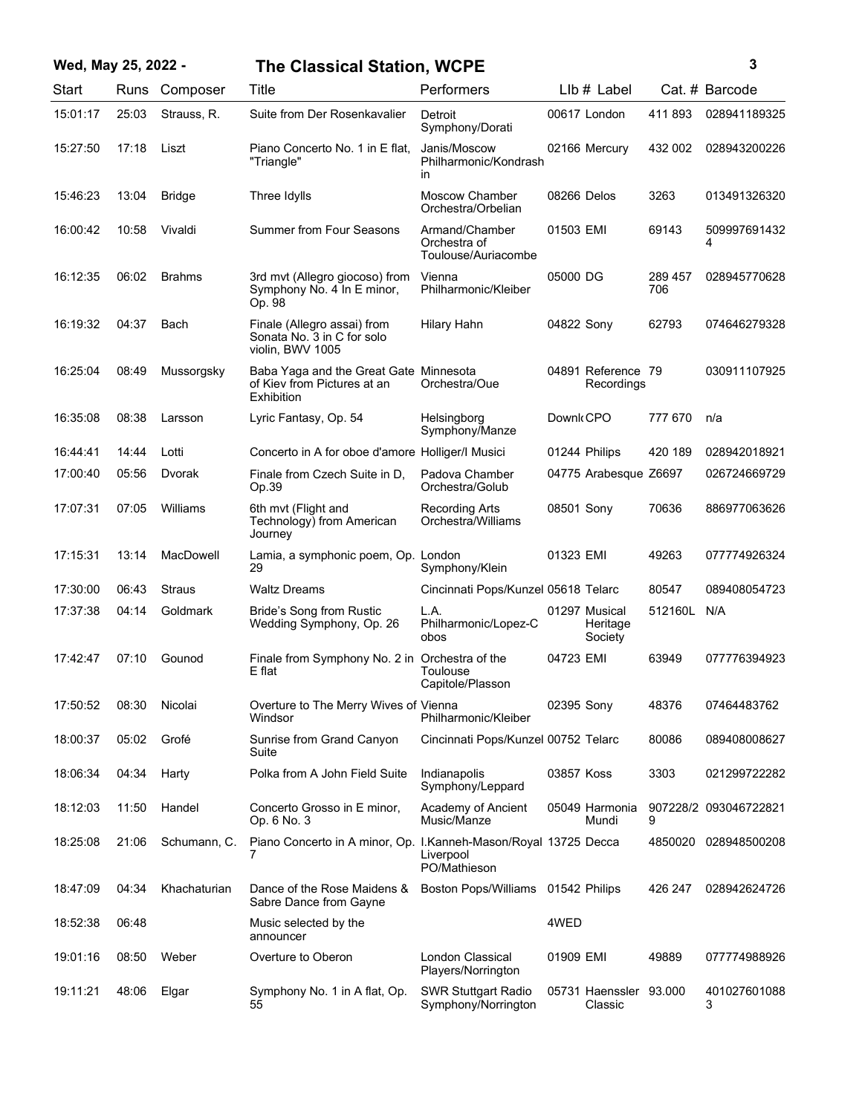| Wed, May 25, 2022 - |       |               | <b>The Classical Station, WCPE</b>                                                  |                                                       |            |                                      |                | 3                     |
|---------------------|-------|---------------|-------------------------------------------------------------------------------------|-------------------------------------------------------|------------|--------------------------------------|----------------|-----------------------|
| Start               |       | Runs Composer | Title                                                                               | Performers                                            |            | LIb # Label                          |                | Cat. # Barcode        |
| 15:01:17            | 25:03 | Strauss, R.   | Suite from Der Rosenkavalier                                                        | Detroit<br>Symphony/Dorati                            |            | 00617 London                         | 411893         | 028941189325          |
| 15:27:50            | 17:18 | Liszt         | Piano Concerto No. 1 in E flat,<br>"Triangle"                                       | Janis/Moscow<br>Philharmonic/Kondrash<br>in           |            | 02166 Mercury                        | 432 002        | 028943200226          |
| 15:46:23            | 13:04 | <b>Bridge</b> | Three Idylls                                                                        | Moscow Chamber<br>Orchestra/Orbelian                  |            | 08266 Delos                          | 3263           | 013491326320          |
| 16:00:42            | 10:58 | Vivaldi       | <b>Summer from Four Seasons</b>                                                     | Armand/Chamber<br>Orchestra of<br>Toulouse/Auriacombe | 01503 EMI  |                                      | 69143          | 509997691432<br>4     |
| 16:12:35            | 06:02 | <b>Brahms</b> | 3rd mvt (Allegro giocoso) from<br>Symphony No. 4 In E minor,<br>Op. 98              | Vienna<br>Philharmonic/Kleiber                        | 05000 DG   |                                      | 289 457<br>706 | 028945770628          |
| 16:19:32            | 04:37 | Bach          | Finale (Allegro assai) from<br>Sonata No. 3 in C for solo<br>violin, BWV 1005       | <b>Hilary Hahn</b>                                    | 04822 Sony |                                      | 62793          | 074646279328          |
| 16:25:04            | 08:49 | Mussorgsky    | Baba Yaga and the Great Gate Minnesota<br>of Kiev from Pictures at an<br>Exhibition | Orchestra/Oue                                         |            | 04891 Reference 79<br>Recordings     |                | 030911107925          |
| 16:35:08            | 08:38 | Larsson       | Lyric Fantasy, Op. 54                                                               | Helsingborg<br>Symphony/Manze                         | Downk CPO  |                                      | 777 670        | n/a                   |
| 16:44:41            | 14:44 | Lotti         | Concerto in A for oboe d'amore Holliger/I Musici                                    |                                                       |            | 01244 Philips                        | 420 189        | 028942018921          |
| 17:00:40            | 05:56 | Dvorak        | Finale from Czech Suite in D,<br>Op.39                                              | Padova Chamber<br>Orchestra/Golub                     |            | 04775 Arabesque Z6697                |                | 026724669729          |
| 17:07:31            | 07:05 | Williams      | 6th mvt (Flight and<br>Technology) from American<br>Journey                         | <b>Recording Arts</b><br>Orchestra/Williams           | 08501 Sony |                                      | 70636          | 886977063626          |
| 17:15:31            | 13:14 | MacDowell     | Lamia, a symphonic poem, Op. London<br>29                                           | Symphony/Klein                                        | 01323 EMI  |                                      | 49263          | 077774926324          |
| 17:30:00            | 06:43 | Straus        | Waltz Dreams                                                                        | Cincinnati Pops/Kunzel 05618 Telarc                   |            |                                      | 80547          | 089408054723          |
| 17:37:38            | 04:14 | Goldmark      | Bride's Song from Rustic<br>Wedding Symphony, Op. 26                                | L.A.<br>Philharmonic/Lopez-C<br>obos                  |            | 01297 Musical<br>Heritage<br>Society | 512160L        | N/A                   |
| 17:42:47            | 07:10 | Gounod        | Finale from Symphony No. 2 in Orchestra of the<br>E flat                            | Toulouse<br>Capitole/Plasson                          | 04723 EMI  |                                      | 63949          | 077776394923          |
| 17:50:52            | 08:30 | Nicolai       | Overture to The Merry Wives of Vienna<br>Windsor                                    | Philharmonic/Kleiber                                  | 02395 Sony |                                      | 48376          | 07464483762           |
| 18:00:37            | 05:02 | Grofé         | Sunrise from Grand Canyon<br>Suite                                                  | Cincinnati Pops/Kunzel 00752 Telarc                   |            |                                      | 80086          | 089408008627          |
| 18:06:34            | 04:34 | Harty         | Polka from A John Field Suite                                                       | Indianapolis<br>Symphony/Leppard                      | 03857 Koss |                                      | 3303           | 021299722282          |
| 18:12:03            | 11:50 | Handel        | Concerto Grosso in E minor,<br>Op. 6 No. 3                                          | Academy of Ancient<br>Music/Manze                     |            | 05049 Harmonia<br>Mundi              | 9              | 907228/2 093046722821 |
| 18:25:08            | 21:06 | Schumann, C.  | Piano Concerto in A minor, Op. I.Kanneh-Mason/Royal 13725 Decca<br>7                | Liverpool<br>PO/Mathieson                             |            |                                      |                | 4850020 028948500208  |
| 18:47:09            | 04:34 | Khachaturian  | Dance of the Rose Maidens &<br>Sabre Dance from Gayne                               | Boston Pops/Williams 01542 Philips                    |            |                                      | 426 247        | 028942624726          |
| 18:52:38            | 06:48 |               | Music selected by the<br>announcer                                                  |                                                       | 4WED       |                                      |                |                       |
| 19:01:16            | 08:50 | Weber         | Overture to Oberon                                                                  | London Classical<br>Players/Norrington                | 01909 EMI  |                                      | 49889          | 077774988926          |
| 19:11:21            | 48:06 | Elgar         | Symphony No. 1 in A flat, Op.<br>55                                                 | <b>SWR Stuttgart Radio</b><br>Symphony/Norrington     |            | 05731 Haenssler 93.000<br>Classic    |                | 401027601088<br>3     |